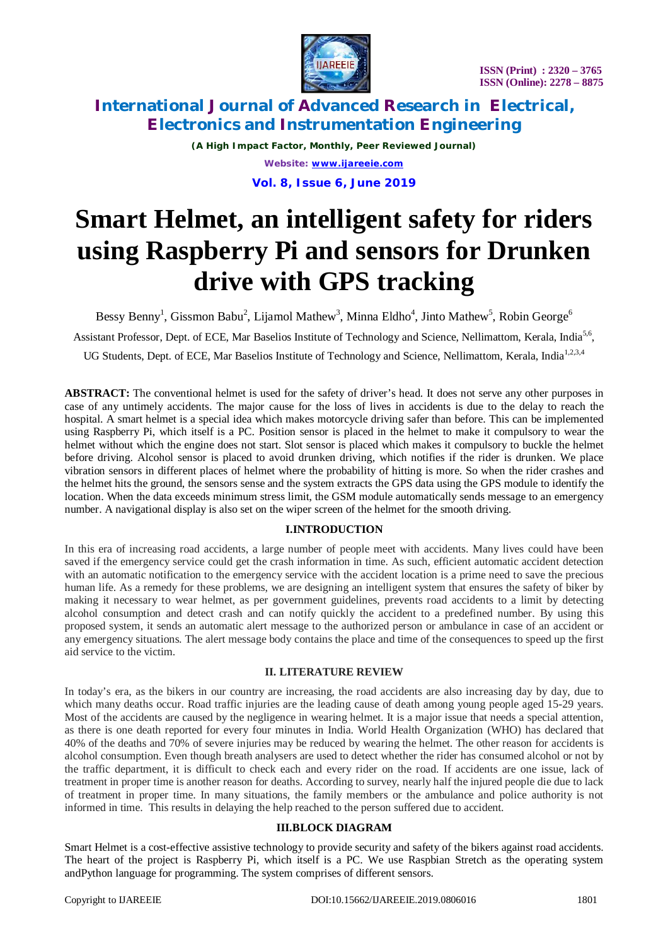

## **International Journal of Advanced Research in Electrical, Electronics and Instrumentation Engineering**

*(A High Impact Factor, Monthly, Peer Reviewed Journal) Website: [www.ijareeie.com](http://www.ijareeie.com)*

**Vol. 8, Issue 6, June 2019**

# **Smart Helmet, an intelligent safety for riders using Raspberry Pi and sensors for Drunken drive with GPS tracking**

Bessy Benny<sup>1</sup>, Gissmon Babu<sup>2</sup>, Lijamol Mathew<sup>3</sup>, Minna Eldho<sup>4</sup>, Jinto Mathew<sup>5</sup>, Robin George<sup>6</sup> Assistant Professor, Dept. of ECE, Mar Baselios Institute of Technology and Science, Nellimattom, Kerala, India<sup>5,6</sup>, UG Students, Dept. of ECE, Mar Baselios Institute of Technology and Science, Nellimattom. Kerala. India<sup>1,2,3,4</sup>

**ABSTRACT:** The conventional helmet is used for the safety of driver's head. It does not serve any other purposes in case of any untimely accidents. The major cause for the loss of lives in accidents is due to the delay to reach the hospital. A smart helmet is a special idea which makes motorcycle driving safer than before. This can be implemented using Raspberry Pi, which itself is a PC. Position sensor is placed in the helmet to make it compulsory to wear the helmet without which the engine does not start. Slot sensor is placed which makes it compulsory to buckle the helmet before driving. Alcohol sensor is placed to avoid drunken driving, which notifies if the rider is drunken. We place vibration sensors in different places of helmet where the probability of hitting is more. So when the rider crashes and the helmet hits the ground, the sensors sense and the system extracts the GPS data using the GPS module to identify the location. When the data exceeds minimum stress limit, the GSM module automatically sends message to an emergency number. A navigational display is also set on the wiper screen of the helmet for the smooth driving.

## **I.INTRODUCTION**

In this era of increasing road accidents, a large number of people meet with accidents. Many lives could have been saved if the emergency service could get the crash information in time. As such, efficient automatic accident detection with an automatic notification to the emergency service with the accident location is a prime need to save the precious human life. As a remedy for these problems, we are designing an intelligent system that ensures the safety of biker by making it necessary to wear helmet, as per government guidelines, prevents road accidents to a limit by detecting alcohol consumption and detect crash and can notify quickly the accident to a predefined number. By using this proposed system, it sends an automatic alert message to the authorized person or ambulance in case of an accident or any emergency situations. The alert message body contains the place and time of the consequences to speed up the first aid service to the victim.

## **II. LITERATURE REVIEW**

In today's era, as the bikers in our country are increasing, the road accidents are also increasing day by day, due to which many deaths occur. Road traffic injuries are the leading cause of death among young people aged 15-29 years. Most of the accidents are caused by the negligence in wearing helmet. It is a major issue that needs a special attention, as there is one death reported for every four minutes in India. World Health Organization (WHO) has declared that 40% of the deaths and 70% of severe injuries may be reduced by wearing the helmet. The other reason for accidents is alcohol consumption. Even though breath analysers are used to detect whether the rider has consumed alcohol or not by the traffic department, it is difficult to check each and every rider on the road. If accidents are one issue, lack of treatment in proper time is another reason for deaths. According to survey, nearly half the injured people die due to lack of treatment in proper time. In many situations, the family members or the ambulance and police authority is not informed in time. This results in delaying the help reached to the person suffered due to accident.

#### **III.BLOCK DIAGRAM**

Smart Helmet is a cost-effective assistive technology to provide security and safety of the bikers against road accidents. The heart of the project is Raspberry Pi, which itself is a PC. We use Raspbian Stretch as the operating system andPython language for programming. The system comprises of different sensors.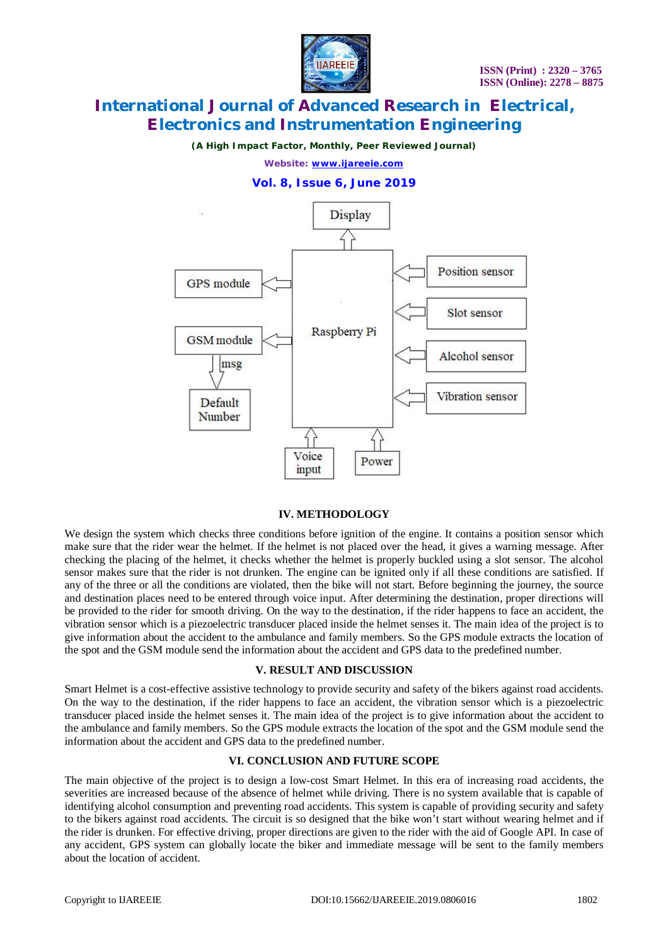

# **International Journal of Advanced Research in Electrical, Electronics and Instrumentation Engineering**

*(A High Impact Factor, Monthly, Peer Reviewed Journal)*

*Website: [www.ijareeie.com](http://www.ijareeie.com)*

#### **Vol. 8, Issue 6, June 2019**



#### **IV. METHODOLOGY**

We design the system which checks three conditions before ignition of the engine. It contains a position sensor which make sure that the rider wear the helmet. If the helmet is not placed over the head, it gives a warning message. After checking the placing of the helmet, it checks whether the helmet is properly buckled using a slot sensor. The alcohol sensor makes sure that the rider is not drunken. The engine can be ignited only if all these conditions are satisfied. If any of the three or all the conditions are violated, then the bike will not start. Before beginning the journey, the source and destination places need to be entered through voice input. After determining the destination, proper directions will be provided to the rider for smooth driving. On the way to the destination, if the rider happens to face an accident, the vibration sensor which is a piezoelectric transducer placed inside the helmet senses it. The main idea of the project is to give information about the accident to the ambulance and family members. So the GPS module extracts the location of the spot and the GSM module send the information about the accident and GPS data to the predefined number.

#### **V. RESULT AND DISCUSSION**

Smart Helmet is a cost-effective assistive technology to provide security and safety of the bikers against road accidents. On the way to the destination, if the rider happens to face an accident, the vibration sensor which is a piezoelectric transducer placed inside the helmet senses it. The main idea of the project is to give information about the accident to the ambulance and family members. So the GPS module extracts the location of the spot and the GSM module send the information about the accident and GPS data to the predefined number.

#### **VI. CONCLUSION AND FUTURE SCOPE**

The main objective of the project is to design a low-cost Smart Helmet. In this era of increasing road accidents, the severities are increased because of the absence of helmet while driving. There is no system available that is capable of identifying alcohol consumption and preventing road accidents. This system is capable of providing security and safety to the bikers against road accidents. The circuit is so designed that the bike won't start without wearing helmet and if the rider is drunken. For effective driving, proper directions are given to the rider with the aid of Google API. In case of any accident, GPS system can globally locate the biker and immediate message will be sent to the family members about the location of accident.